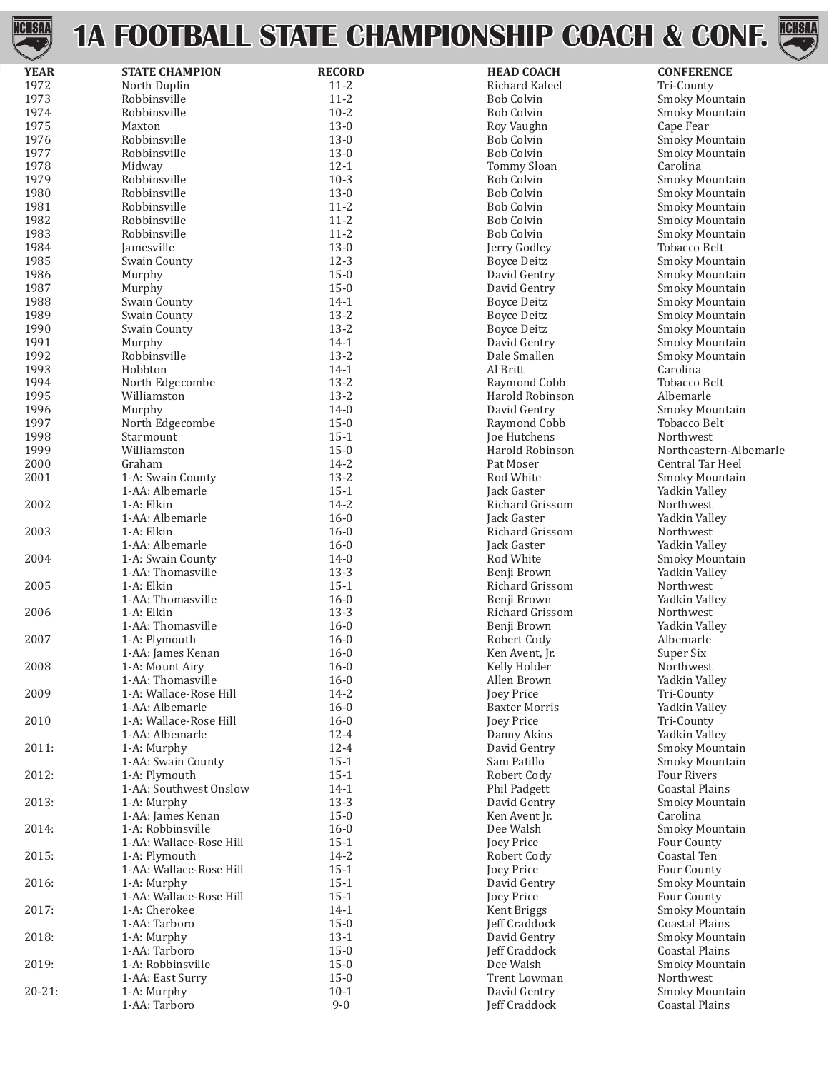

### **1A FOOTBALL STATE CHAMPIONSHIP COACH & CONF.**



| <b>YEAR</b> | <b>STATE CHAMPION</b>   | <b>RECORD</b> | <b>HEAD COACH</b>    | <b>CONFERENCE</b>      |
|-------------|-------------------------|---------------|----------------------|------------------------|
| 1972        | North Duplin            | $11 - 2$      | Richard Kaleel       | Tri-County             |
| 1973        | Robbinsville            | $11 - 2$      | <b>Bob Colvin</b>    | Smoky Mountain         |
| 1974        | Robbinsville            | $10 - 2$      | <b>Bob Colvin</b>    | Smoky Mountain         |
|             |                         |               |                      |                        |
| 1975        | Maxton                  | $13-0$        | Roy Vaughn           | Cape Fear              |
| 1976        | Robbinsville            | $13-0$        | <b>Bob Colvin</b>    | Smoky Mountain         |
| 1977        | Robbinsville            | $13-0$        | <b>Bob Colvin</b>    | Smoky Mountain         |
| 1978        | Midway                  | $12 - 1$      | <b>Tommy Sloan</b>   | Carolina               |
| 1979        | Robbinsville            | $10-3$        | <b>Bob Colvin</b>    | Smoky Mountain         |
|             |                         |               |                      |                        |
| 1980        | Robbinsville            | $13-0$        | <b>Bob Colvin</b>    | Smoky Mountain         |
| 1981        | Robbinsville            | $11 - 2$      | <b>Bob Colvin</b>    | Smoky Mountain         |
| 1982        | Robbinsville            | $11 - 2$      | <b>Bob Colvin</b>    | Smoky Mountain         |
| 1983        | Robbinsville            | $11 - 2$      | <b>Bob Colvin</b>    | Smoky Mountain         |
| 1984        | Jamesville              | $13-0$        | Jerry Godley         | <b>Tobacco Belt</b>    |
| 1985        | Swain County            | $12-3$        | <b>Boyce Deitz</b>   | Smoky Mountain         |
|             |                         |               |                      |                        |
| 1986        | Murphy                  | $15 - 0$      | David Gentry         | Smoky Mountain         |
| 1987        | Murphy                  | $15 - 0$      | David Gentry         | Smoky Mountain         |
| 1988        | Swain County            | $14-1$        | <b>Boyce Deitz</b>   | Smoky Mountain         |
| 1989        | Swain County            | $13 - 2$      | <b>Boyce Deitz</b>   | Smoky Mountain         |
| 1990        | Swain County            | $13 - 2$      | <b>Boyce Deitz</b>   | Smoky Mountain         |
| 1991        | Murphy                  | $14-1$        | David Gentry         | Smoky Mountain         |
|             |                         |               |                      |                        |
| 1992        | Robbinsville            | $13 - 2$      | Dale Smallen         | Smoky Mountain         |
| 1993        | Hobbton                 | $14-1$        | Al Britt             | Carolina               |
| 1994        | North Edgecombe         | $13 - 2$      | Raymond Cobb         | <b>Tobacco Belt</b>    |
| 1995        | Williamston             | $13 - 2$      | Harold Robinson      | Albemarle              |
| 1996        | Murphy                  | $14-0$        | David Gentry         | Smoky Mountain         |
| 1997        | North Edgecombe         | $15 - 0$      | Raymond Cobb         | Tobacco Belt           |
|             |                         |               |                      |                        |
| 1998        | Starmount               | $15-1$        | Joe Hutchens         | Northwest              |
| 1999        | Williamston             | $15-0$        | Harold Robinson      | Northeastern-Albemarle |
| 2000        | Graham                  | $14 - 2$      | Pat Moser            | Central Tar Heel       |
| 2001        | 1-A: Swain County       | $13 - 2$      | Rod White            | Smoky Mountain         |
|             | 1-AA: Albemarle         | $15-1$        | Jack Gaster          | Yadkin Valley          |
| 2002        | 1-A: Elkin              | $14 - 2$      | Richard Grissom      | Northwest              |
|             |                         |               |                      |                        |
|             | 1-AA: Albemarle         | $16 - 0$      | Jack Gaster          | Yadkin Valley          |
| 2003        | 1-A: Elkin              | $16 - 0$      | Richard Grissom      | Northwest              |
|             | 1-AA: Albemarle         | $16 - 0$      | Jack Gaster          | Yadkin Valley          |
| 2004        | 1-A: Swain County       | $14-0$        | Rod White            | Smoky Mountain         |
|             | 1-AA: Thomasville       | $13-3$        | Benji Brown          | Yadkin Valley          |
| 2005        | 1-A: Elkin              | $15-1$        | Richard Grissom      | Northwest              |
|             |                         |               |                      |                        |
|             | 1-AA: Thomasville       | $16 - 0$      | Benji Brown          | Yadkin Valley          |
| 2006        | 1-A: Elkin              | $13-3$        | Richard Grissom      | Northwest              |
|             | 1-AA: Thomasville       | $16 - 0$      | Benji Brown          | Yadkin Valley          |
| 2007        | 1-A: Plymouth           | $16 - 0$      | Robert Cody          | Albemarle              |
|             | 1-AA: James Kenan       | $16 - 0$      | Ken Avent, Jr.       | Super Six              |
| 2008        | 1-A: Mount Airy         | $16 - 0$      | Kelly Holder         |                        |
|             |                         |               |                      | Northwest              |
|             | 1-AA: Thomasville       | $16 - 0$      | Allen Brown          | Yadkin Valley          |
| 2009        | 1-A: Wallace-Rose Hill  | $14 - 2$      | Joey Price           | Tri-County             |
|             | 1-AA: Albemarle         | $16 - 0$      | <b>Baxter Morris</b> | Yadkin Valley          |
| 2010        | 1-A: Wallace-Rose Hill  | $16 - 0$      | <b>Joey Price</b>    | Tri-County             |
|             | 1-AA: Albemarle         | $12 - 4$      | Danny Akins          | Yadkin Valley          |
| 2011:       | 1-A: Murphy             | $12 - 4$      | David Gentry         | Smoky Mountain         |
|             |                         |               |                      |                        |
|             | 1-AA: Swain County      | $15-1$        | Sam Patillo          | Smoky Mountain         |
| 2012:       | 1-A: Plymouth           | $15-1$        | Robert Cody          | Four Rivers            |
|             | 1-AA: Southwest Onslow  | $14-1$        | Phil Padgett         | <b>Coastal Plains</b>  |
| 2013:       | 1-A: Murphy             | $13-3$        | David Gentry         | Smoky Mountain         |
|             | 1-AA: James Kenan       | $15 - 0$      | Ken Avent Jr.        | Carolina               |
| 2014:       | 1-A: Robbinsville       | $16 - 0$      | Dee Walsh            | Smoky Mountain         |
|             |                         |               |                      |                        |
|             | 1-AA: Wallace-Rose Hill | $15-1$        | Joey Price           | Four County            |
| 2015:       | 1-A: Plymouth           | $14 - 2$      | Robert Cody          | Coastal Ten            |
|             | 1-AA: Wallace-Rose Hill | $15-1$        | Joey Price           | Four County            |
| 2016:       | 1-A: Murphy             | $15-1$        | David Gentry         | Smoky Mountain         |
|             | 1-AA: Wallace-Rose Hill | $15 - 1$      | Joey Price           | Four County            |
| 2017:       | 1-A: Cherokee           | $14-1$        |                      | Smoky Mountain         |
|             |                         |               | Kent Briggs          |                        |
|             | 1-AA: Tarboro           | $15-0$        | Jeff Craddock        | <b>Coastal Plains</b>  |
| 2018:       | 1-A: Murphy             | $13-1$        | David Gentry         | Smoky Mountain         |
|             | 1-AA: Tarboro           | $15-0$        | Jeff Craddock        | <b>Coastal Plains</b>  |
| 2019:       | 1-A: Robbinsville       | $15-0$        | Dee Walsh            | Smoky Mountain         |
|             | 1-AA: East Surry        | $15-0$        | Trent Lowman         | Northwest              |
| $20 - 21$ : |                         | $10-1$        | David Gentry         | Smoky Mountain         |
|             | 1-A: Murphy             |               |                      |                        |
|             | 1-AA: Tarboro           | $9 - 0$       | Jeff Craddock        | <b>Coastal Plains</b>  |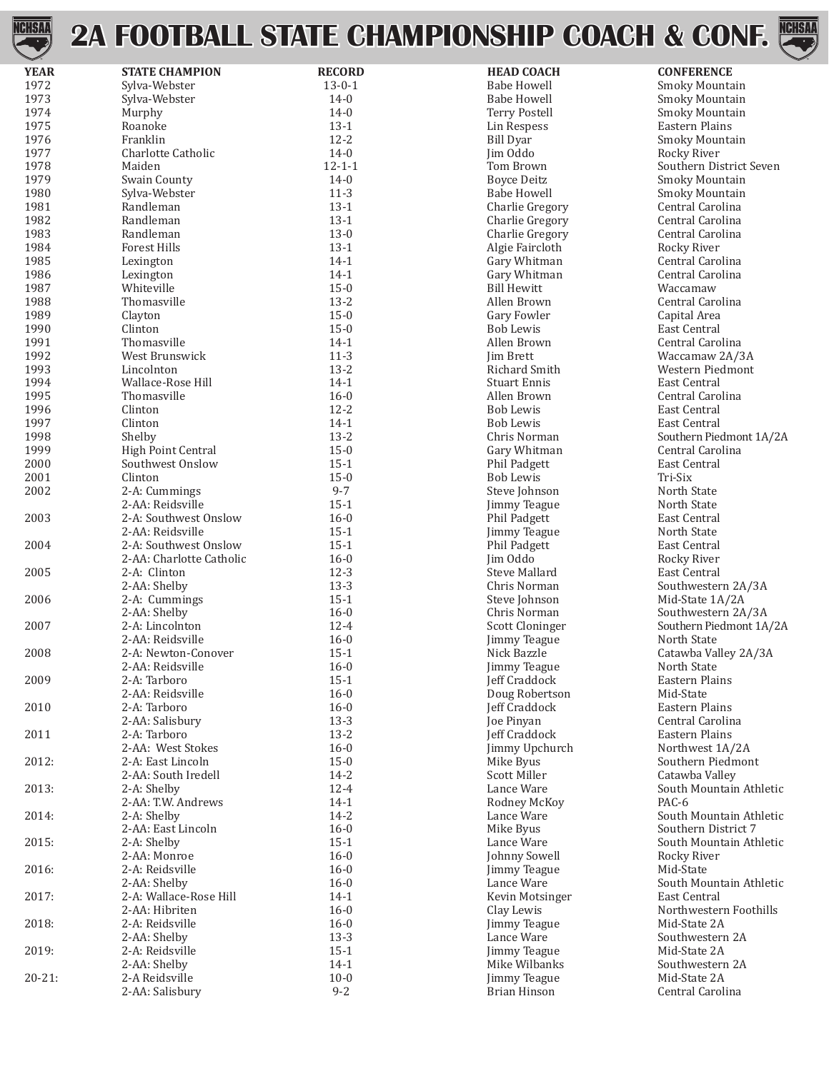

## **2A FOOTBALL STATE CHAMPIONSHIP COACH & CONF.**



| $\smile$    |                                  |               |                      |                         |
|-------------|----------------------------------|---------------|----------------------|-------------------------|
| <b>YEAR</b> | <b>STATE CHAMPION</b>            | <b>RECORD</b> | <b>HEAD COACH</b>    | <b>CONFERENCE</b>       |
| 1972        | Sylva-Webster                    | $13 - 0 - 1$  | <b>Babe Howell</b>   | Smoky Mountain          |
| 1973        | Sylva-Webster                    | $14-0$        | <b>Babe Howell</b>   | Smoky Mountain          |
| 1974        | Murphy                           | $14-0$        | <b>Terry Postell</b> | Smoky Mountain          |
| 1975        | Roanoke                          | $13-1$        | Lin Respess          | Eastern Plains          |
| 1976        | Franklin                         | $12 - 2$      | <b>Bill Dyar</b>     | Smoky Mountain          |
| 1977        | Charlotte Catholic               | $14 - 0$      | Jim Oddo             | Rocky River             |
| 1978        | Maiden                           | $12 - 1 - 1$  | Tom Brown            | Southern District Seven |
| 1979        | Swain County                     | $14 - 0$      | <b>Boyce Deitz</b>   | Smoky Mountain          |
| 1980        | Sylva-Webster                    | $11-3$        | <b>Babe Howell</b>   | Smoky Mountain          |
| 1981        | Randleman                        | $13-1$        | Charlie Gregory      | Central Carolina        |
| 1982        | Randleman                        | $13-1$        | Charlie Gregory      | Central Carolina        |
|             |                                  |               |                      |                         |
| 1983        | Randleman<br><b>Forest Hills</b> | $13-0$        | Charlie Gregory      | Central Carolina        |
| 1984        |                                  | $13-1$        | Algie Faircloth      | Rocky River             |
| 1985        | Lexington                        | $14-1$        | Gary Whitman         | Central Carolina        |
| 1986        | Lexington                        | $14-1$        | Gary Whitman         | Central Carolina        |
| 1987        | Whiteville                       | $15 - 0$      | <b>Bill Hewitt</b>   | Waccamaw                |
| 1988        | Thomasville                      | $13 - 2$      | Allen Brown          | Central Carolina        |
| 1989        | Clayton                          | $15 - 0$      | Gary Fowler          | Capital Area            |
| 1990        | Clinton                          | $15 - 0$      | <b>Bob Lewis</b>     | East Central            |
| 1991        | Thomasville                      | $14-1$        | Allen Brown          | Central Carolina        |
| 1992        | West Brunswick                   | $11-3$        | <b>Iim Brett</b>     | Waccamaw 2A/3A          |
| 1993        | Lincolnton                       | $13 - 2$      | Richard Smith        | Western Piedmont        |
| 1994        | Wallace-Rose Hill                | $14-1$        | <b>Stuart Ennis</b>  | East Central            |
| 1995        | Thomasville                      | $16 - 0$      | Allen Brown          | Central Carolina        |
| 1996        | Clinton                          | $12 - 2$      | <b>Bob Lewis</b>     | East Central            |
| 1997        | Clinton                          | $14-1$        | <b>Bob Lewis</b>     | East Central            |
| 1998        | Shelby                           | $13 - 2$      | Chris Norman         | Southern Piedmont 1A/2  |
| 1999        | High Point Central               | $15 - 0$      | Gary Whitman         | Central Carolina        |
| 2000        | Southwest Onslow                 | $15 - 1$      |                      | East Central            |
|             |                                  |               | Phil Padgett         |                         |
| 2001        | Clinton                          | $15 - 0$      | <b>Bob Lewis</b>     | Tri-Six                 |
| 2002        | 2-A: Cummings                    | $9 - 7$       | Steve Johnson        | North State             |
|             | 2-AA: Reidsville                 | $15 - 1$      | Jimmy Teague         | North State             |
| 2003        | 2-A: Southwest Onslow            | $16 - 0$      | Phil Padgett         | East Central            |
|             | 2-AA: Reidsville                 | $15 - 1$      | Jimmy Teague         | North State             |
| 2004        | 2-A: Southwest Onslow            | $15 - 1$      | Phil Padgett         | East Central            |
|             | 2-AA: Charlotte Catholic         | $16 - 0$      | Jim Oddo             | Rocky River             |
| 2005        | 2-A: Clinton                     | $12-3$        | Steve Mallard        | East Central            |
|             | 2-AA: Shelby                     | $13-3$        | Chris Norman         | Southwestern 2A/3A      |
| 2006        | 2-A: Cummings                    | $15 - 1$      | Steve Johnson        | Mid-State 1A/2A         |
|             | 2-AA: Shelby                     | $16 - 0$      | Chris Norman         | Southwestern 2A/3A      |
| 2007        | 2-A: Lincolnton                  | $12 - 4$      | Scott Cloninger      | Southern Piedmont 1A/2  |
|             | 2-AA: Reidsville                 | $16 - 0$      | Jimmy Teague         | North State             |
| 2008        | 2-A: Newton-Conover              | $15-1$        | Nick Bazzle          | Catawba Valley 2A/3A    |
|             | 2-AA: Reidsville                 | 16-0          | Jimmy Teague         | North State             |
| 2009        | 2-A: Tarboro                     | $15-1$        | Jeff Craddock        | Eastern Plains          |
|             | 2-AA: Reidsville                 | $16 - 0$      | Doug Robertson       | Mid-State               |
| 2010        | 2-A: Tarboro                     | $16 - 0$      | <b>Jeff Craddock</b> | Eastern Plains          |
|             | 2-AA: Salisbury                  | $13-3$        | Joe Pinyan           | Central Carolina        |
| 2011        | 2-A: Tarboro                     | $13 - 2$      |                      | Eastern Plains          |
|             |                                  |               | Jeff Craddock        |                         |
|             | 2-AA: West Stokes                | $16 - 0$      | Jimmy Upchurch       | Northwest 1A/2A         |
| 2012:       | 2-A: East Lincoln                | $15 - 0$      | Mike Byus            | Southern Piedmont       |
|             | 2-AA: South Iredell              | $14 - 2$      | Scott Miller         | Catawba Valley          |
| 2013:       | 2-A: Shelby                      | $12 - 4$      | Lance Ware           | South Mountain Athletic |
|             | 2-AA: T.W. Andrews               | $14-1$        | Rodney McKoy         | PAC-6                   |
| 2014:       | 2-A: Shelby                      | $14 - 2$      | Lance Ware           | South Mountain Athletic |
|             | 2-AA: East Lincoln               | $16 - 0$      | Mike Byus            | Southern District 7     |
| 2015:       | 2-A: Shelby                      | $15-1$        | Lance Ware           | South Mountain Athletic |
|             | 2-AA: Monroe                     | $16 - 0$      | Johnny Sowell        | Rocky River             |
| 2016:       | 2-A: Reidsville                  | $16 - 0$      | Jimmy Teague         | Mid-State               |
|             | 2-AA: Shelby                     | $16 - 0$      | Lance Ware           | South Mountain Athletic |
| 2017:       | 2-A: Wallace-Rose Hill           | $14-1$        | Kevin Motsinger      | East Central            |
|             | 2-AA: Hibriten                   | $16 - 0$      | Clay Lewis           | Northwestern Foothills  |
| 2018:       | 2-A: Reidsville                  | $16 - 0$      | Jimmy Teague         | Mid-State 2A            |
|             | 2-AA: Shelby                     | $13-3$        | Lance Ware           | Southwestern 2A         |
| 2019:       | 2-A: Reidsville                  | $15-1$        | Jimmy Teague         | Mid-State 2A            |
|             | 2-AA: Shelby                     | $14-1$        | Mike Wilbanks        | Southwestern 2A         |
| $20 - 21$ : | 2-A Reidsville                   | $10 - 0$      |                      | Mid-State 2A            |
|             |                                  |               | Jimmy Teague         |                         |
|             | 2-AA: Salisbury                  | $9 - 2$       | <b>Brian Hinson</b>  | Central Carolina        |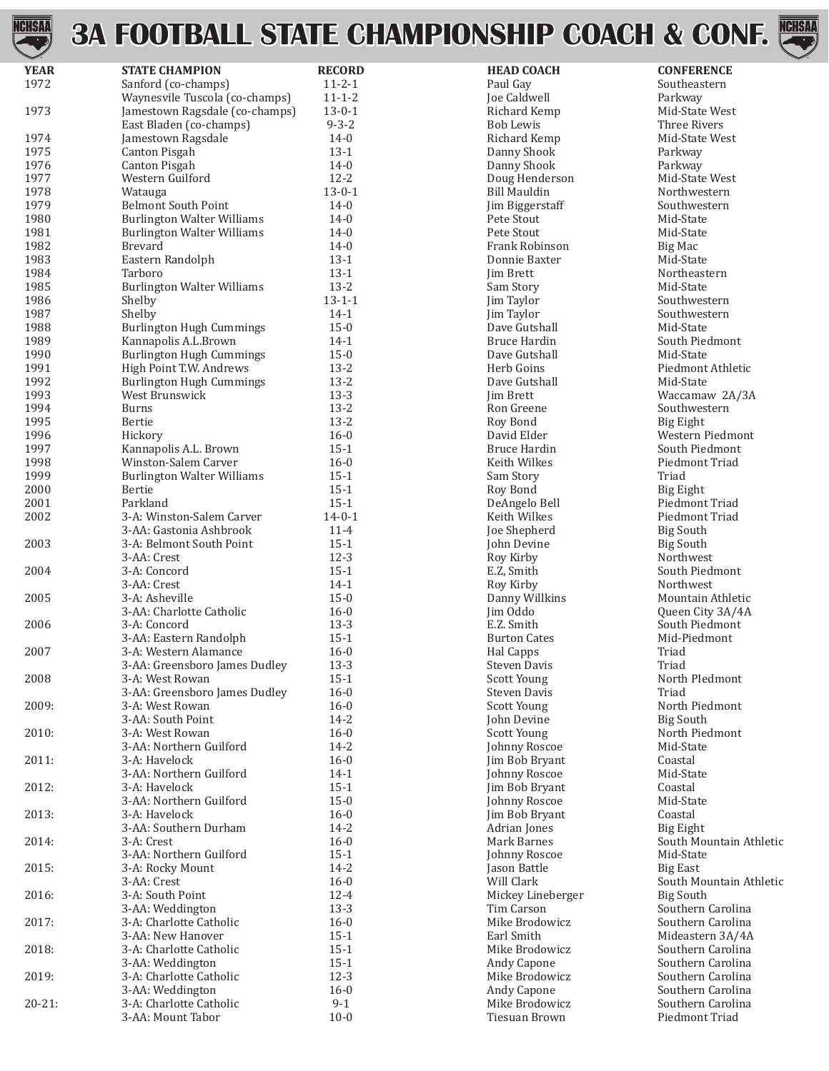# **ONSHIP COACH & CONF.**



| <b>HSM</b>  |                                   |               | <b>3A FOOTBALL STATE CHAMPIONSHIP COACH &amp; CONI</b> |                   |
|-------------|-----------------------------------|---------------|--------------------------------------------------------|-------------------|
| <b>YEAR</b> | <b>STATE CHAMPION</b>             | <b>RECORD</b> | <b>HEAD COACH</b>                                      | <b>CONFERENCE</b> |
| 1972        | Sanford (co-champs)               | $11 - 2 - 1$  | Paul Gay                                               | Southeastern      |
|             | Waynesvile Tuscola (co-champs)    | $11 - 1 - 2$  | Joe Caldwell                                           | Parkway           |
| 1973        | Jamestown Ragsdale (co-champs)    | $13 - 0 - 1$  | Richard Kemp                                           | Mid-State West    |
|             | East Bladen (co-champs)           | $9 - 3 - 2$   | <b>Bob Lewis</b>                                       | Three Rivers      |
| 1974        | Jamestown Ragsdale                | $14-0$        | Richard Kemp                                           | Mid-State West    |
| 1975        | Canton Pisgah                     | $13-1$        | Danny Shook                                            | Parkway           |
| 1976        | Canton Pisgah                     | $14-0$        | Danny Shook                                            | Parkway           |
| 1977        | Western Guilford                  | $12 - 2$      | Doug Henderson                                         | Mid-State West    |
| 1978        | Watauga                           | $13 - 0 - 1$  | <b>Bill Mauldin</b>                                    | Northwestern      |
| 1979        | <b>Belmont South Point</b>        | $14-0$        | Jim Biggerstaff                                        | Southwestern      |
| 1980        | <b>Burlington Walter Williams</b> | $14-0$        | Pete Stout                                             | Mid-State         |
| 1981        | <b>Burlington Walter Williams</b> | $14-0$        | Pete Stout                                             | Mid-State         |
| 1982        | <b>Brevard</b>                    | $14-0$        | Frank Robinson                                         | Big Mac           |
| 1983        | Eastern Randolph                  | $13-1$        | Donnie Baxter                                          | Mid-State         |
| 1984        | Tarboro                           | $13-1$        | <b>Iim Brett</b>                                       | Northeastern      |
| 1985        | <b>Burlington Walter Williams</b> | $13 - 2$      | Sam Story                                              | Mid-State         |
| 1986        | Shelby                            | $13 - 1 - 1$  | Jim Taylor                                             | Southwestern      |
| 1987        | Shelby                            | $14-1$        | Jim Taylor                                             | Southwestern      |
| 1988        | <b>Burlington Hugh Cummings</b>   | $15-0$        | Dave Gutshall                                          | Mid-State         |
| 1989        | Kannapolis A.L.Brown              | $14-1$        | Bruce Hardin                                           | South Piedmont    |
| 1990        | <b>Burlington Hugh Cummings</b>   | $15-0$        | Dave Gutshall                                          | Mid-State         |
| 1991        | High Point T.W. Andrews           | $13 - 2$      | Herb Goins                                             | Piedmont Athletic |
| 1992        | <b>Burlington Hugh Cummings</b>   | $13 - 2$      | Dave Gutshall                                          | Mid-State         |
| 1993        | West Brunswick                    | $13-3$        | <b>Iim Brett</b>                                       | Waccamaw 2A/3A    |
| 1994        | <b>Burns</b>                      | $13 - 2$      | Ron Greene                                             | Southwestern      |
| 1995        | Bertie                            | $13 - 2$      | Roy Bond                                               | <b>Big Eight</b>  |
| 1996        | Hickory                           | $16-0$        | David Elder                                            | Western Piedmont  |
| 1997        | Kannapolis A.L. Brown             | $15 - 1$      | Bruce Hardin                                           | South Piedmont    |
| 1998        | Winston-Salem Carver              | $16 - 0$      | Keith Wilkes                                           | Piedmont Triad    |
| 1999        | <b>Burlington Walter Williams</b> | $15-1$        | Sam Story                                              | Triad             |
| 2000        | Bertie                            | $15-1$        | Roy Bond                                               | Big Eight         |
| 2001        | Parkland                          | $15-1$        | DeAngelo Bell                                          | Piedmont Triad    |
| 2002        | 3-A: Winston-Salem Carver         | $14 - 0 - 1$  | Keith Wilkes                                           | Piedmont Triad    |
|             | 3-AA: Gastonia Ashbrook           | $11 - 4$      | Joe Shepherd                                           | <b>Big South</b>  |
| 2003        | 3-A: Belmont South Point          | $15-1$        | John Devine                                            | <b>Big South</b>  |
|             | 3-AA: Crest                       | $12-3$        | Roy Kirby                                              | Northwest         |
| 2004        | 3-A: Concord                      | $15-1$        | E.Z, Smith                                             | South Piedmont    |
|             | 3-AA: Crest                       | $14-1$        | Roy Kirby                                              | <b>Northwest</b>  |
| 2005        | 3-A: Asheville                    | $15 - 0$      | Danny Willkins                                         | Mountain Athletic |
|             | 3-AA: Charlotte Catholic          | $16 - 0$      | Jim Oddo                                               | Queen City 3A/4A  |
| 2006        | 3-A: Concord                      | $13-3$        | E.Z. Smith                                             | South Piedmont    |
|             | 3-AA: Eastern Randolph            | $15-1$        | <b>Burton Cates</b>                                    | Mid-Piedmont      |
| 2007        | 3-A: Western Alamance             | $16 - 0$      | Hal Capps                                              | Triad             |
|             | 3-AA: Greensboro James Dudley     | $13-3$        | <b>Steven Davis</b>                                    | Triad             |
| 2008        | 3-A: West Rowan                   | $15-1$        | Scott Young                                            | North PIedmont    |
|             | 3-AA: Greensboro James Dudley     | $16 - 0$      | <b>Steven Davis</b>                                    | Triad             |
| 2009:       | 3-A: West Rowan                   | $16 - 0$      | Scott Young                                            | North Piedmont    |
|             | 3-AA: South Point                 | $14 - 2$      | John Devine                                            | <b>Big South</b>  |
| 2010:       |                                   | $16 - 0$      | Scott Young                                            | North Piedmont    |
|             | 3-A: West Rowan                   |               |                                                        |                   |

3-AA: Northern Guilford 14-2 16-0 Johnny Roscoe Mid-State<br>3-A: Havelock 16-0 Jim Bob Bryant Coastal 2011: 3-A: Havelock 16-0 Jim Bob Bryant Coastal 3-AA: Northern Guilford 14-1 1 Johnny Roscoe Mid-State<br>3-A: Havelock 15-1 Johnny Roscoe Mid-State<br>2-A: Havelock 15-1 Jim Bob Bryant Coastal 2012: 3-A: Havelock 15-1 Jim Bob Bryant Coastal 3-AA: Northern Guilford 15-0 15-0 Johnny Roscoe Mid-State<br>3-A: Havelock 16-0 16-0 Johnny Roscoe Mid-State 2013: 3-A: Havelock 16-0 Jim Bob Bryant Coastal 3-AA: Southern Durham 14-2 Adrian Jones Big Eight 3-AA: Northern Guilford 15-1 15-1 Johnny Roscoe Mid-State Mid-State Mid-State State State State State State State State State State State State State State State State State State State State State State State State State 2015: 3-A: Rocky Mount 14-2 Jason Battle Big East 2016: 3-A: South Point 12-4 Mickey Lineberger Big South 3-AA: Weddington 13-3 Tim Carson Southern Carolina 2017: 3-A: Charlotte Catholic 16-0 Mike Brodowicz Southern Carolina 3-AA: New Hanover 15-1 15-1 Earl Smith Earl Smith Mideastern 3A/4A 2018: 3-A: Charlotte Catholic 15-1 Mike Brodowicz Southern Carolina<br>3-AA: Weddington 15-1 Andy Capone Southern Carolina 3-AA: Weddington 15-1 Andy Capone Southern Carolina 2019: 3-A: Charlotte Catholic 12-3 Mike Brodowicz Southern Carolina 3-AA: Weddington 16-0 16-0 Andy Capone Southern Carolina 20-21: 3-A: Charlotte Catholic 9-1 Mike Brodowicz Southern Carolina 3-AA: Mount Tabor 10-0 Tiesuan Brown Piedmont Triad

2014: 3-A: Crest 3-A: Crest 16-0 16-0 Mark Barnes South Mountain Athletic 3-AA: Northern Guilford 15-1 Mark Barnes South Mountain Athletic 3-AA: Crest 16-0 Will Clark South Mountain Athletic